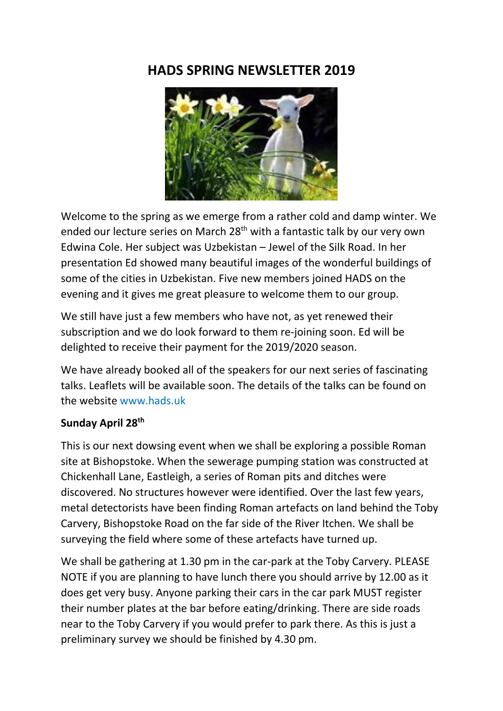# **HADS SPRING NEWSLETTER 2019**



Welcome to the spring as we emerge from a rather cold and damp winter. We ended our lecture series on March 28<sup>th</sup> with a fantastic talk by our very own Edwina Cole. Her subject was Uzbekistan – Jewel of the Silk Road. In her presentation Ed showed many beautiful images of the wonderful buildings of some of the cities in Uzbekistan. Five new members joined HADS on the evening and it gives me great pleasure to welcome them to our group.

We still have just a few members who have not, as yet renewed their subscription and we do look forward to them re-joining soon. Ed will be delighted to receive their payment for the 2019/2020 season.

We have already booked all of the speakers for our next series of fascinating talks. Leaflets will be available soon. The details of the talks can be found on the website www.hads.uk

### **Sunday April 28th**

This is our next dowsing event when we shall be exploring a possible Roman site at Bishopstoke. When the sewerage pumping station was constructed at Chickenhall Lane, Eastleigh, a series of Roman pits and ditches were discovered. No structures however were identified. Over the last few years, metal detectorists have been finding Roman artefacts on land behind the Toby Carvery, Bishopstoke Road on the far side of the River Itchen. We shall be surveying the field where some of these artefacts have turned up.

We shall be gathering at 1.30 pm in the car-park at the Toby Carvery. PLEASE NOTE if you are planning to have lunch there you should arrive by 12.00 as it does get very busy. Anyone parking their cars in the car park MUST register their number plates at the bar before eating/drinking. There are side roads near to the Toby Carvery if you would prefer to park there. As this is just a preliminary survey we should be finished by 4.30 pm.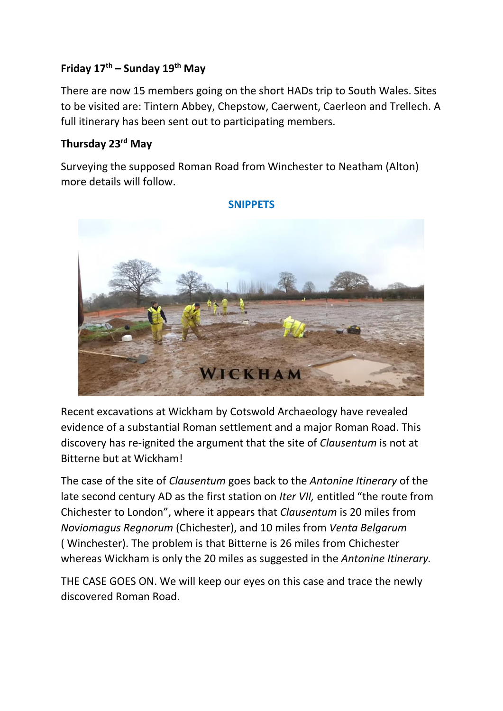# **Friday 17th – Sunday 19th May**

There are now 15 members going on the short HADs trip to South Wales. Sites to be visited are: Tintern Abbey, Chepstow, Caerwent, Caerleon and Trellech. A full itinerary has been sent out to participating members.

### **Thursday 23rd May**

Surveying the supposed Roman Road from Winchester to Neatham (Alton) more details will follow.



#### **SNIPPETS**

Recent excavations at Wickham by Cotswold Archaeology have revealed evidence of a substantial Roman settlement and a major Roman Road. This discovery has re-ignited the argument that the site of *Clausentum* is not at Bitterne but at Wickham!

The case of the site of *Clausentum* goes back to the *Antonine Itinerary* of the late second century AD as the first station on *Iter VII,* entitled "the route from Chichester to London", where it appears that *Clausentum* is 20 miles from *Noviomagus Regnorum* (Chichester), and 10 miles from *Venta Belgarum*  ( Winchester). The problem is that Bitterne is 26 miles from Chichester whereas Wickham is only the 20 miles as suggested in the *Antonine Itinerary.*

THE CASE GOES ON. We will keep our eyes on this case and trace the newly discovered Roman Road.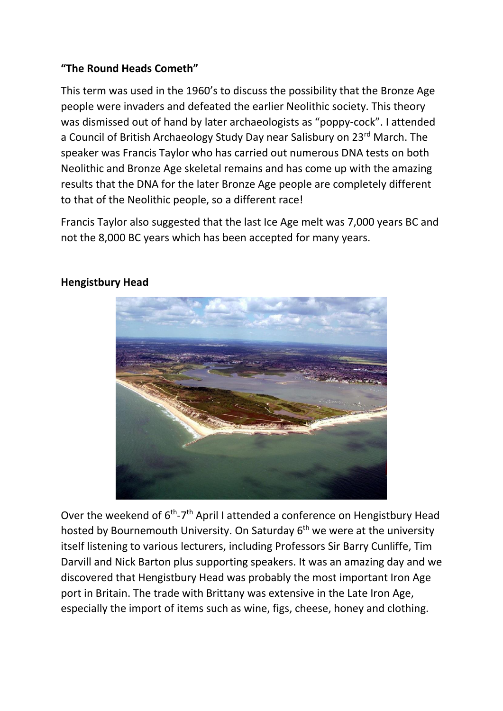## **"The Round Heads Cometh"**

This term was used in the 1960's to discuss the possibility that the Bronze Age people were invaders and defeated the earlier Neolithic society. This theory was dismissed out of hand by later archaeologists as "poppy-cock". I attended a Council of British Archaeology Study Day near Salisbury on 23rd March. The speaker was Francis Taylor who has carried out numerous DNA tests on both Neolithic and Bronze Age skeletal remains and has come up with the amazing results that the DNA for the later Bronze Age people are completely different to that of the Neolithic people, so a different race!

Francis Taylor also suggested that the last Ice Age melt was 7,000 years BC and not the 8,000 BC years which has been accepted for many years.



### **Hengistbury Head**

Over the weekend of 6<sup>th</sup>-7<sup>th</sup> April I attended a conference on Hengistbury Head hosted by Bournemouth University. On Saturday  $6<sup>th</sup>$  we were at the university itself listening to various lecturers, including Professors Sir Barry Cunliffe, Tim Darvill and Nick Barton plus supporting speakers. It was an amazing day and we discovered that Hengistbury Head was probably the most important Iron Age port in Britain. The trade with Brittany was extensive in the Late Iron Age, especially the import of items such as wine, figs, cheese, honey and clothing.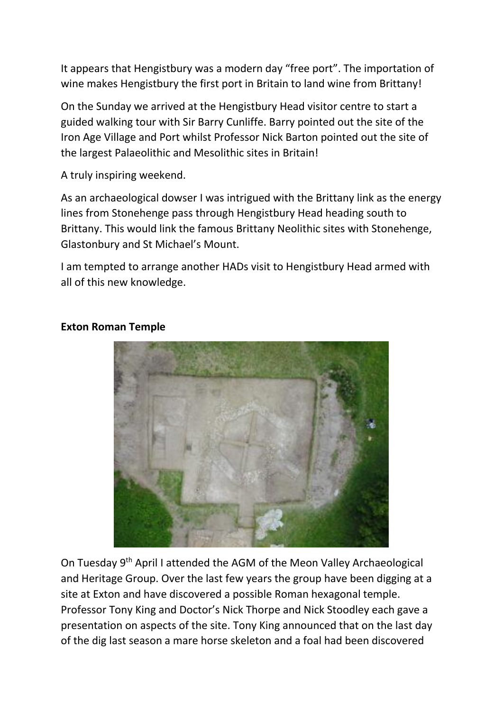It appears that Hengistbury was a modern day "free port". The importation of wine makes Hengistbury the first port in Britain to land wine from Brittany!

On the Sunday we arrived at the Hengistbury Head visitor centre to start a guided walking tour with Sir Barry Cunliffe. Barry pointed out the site of the Iron Age Village and Port whilst Professor Nick Barton pointed out the site of the largest Palaeolithic and Mesolithic sites in Britain!

A truly inspiring weekend.

As an archaeological dowser I was intrigued with the Brittany link as the energy lines from Stonehenge pass through Hengistbury Head heading south to Brittany. This would link the famous Brittany Neolithic sites with Stonehenge, Glastonbury and St Michael's Mount.

I am tempted to arrange another HADs visit to Hengistbury Head armed with all of this new knowledge.



### **Exton Roman Temple**

On Tuesday 9<sup>th</sup> April I attended the AGM of the Meon Valley Archaeological and Heritage Group. Over the last few years the group have been digging at a site at Exton and have discovered a possible Roman hexagonal temple. Professor Tony King and Doctor's Nick Thorpe and Nick Stoodley each gave a presentation on aspects of the site. Tony King announced that on the last day of the dig last season a mare horse skeleton and a foal had been discovered